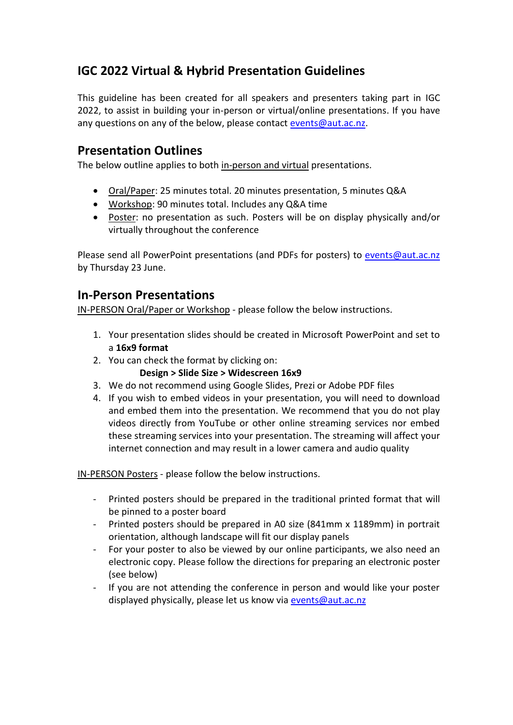# **IGC 2022 Virtual & Hybrid Presentation Guidelines**

This guideline has been created for all speakers and presenters taking part in IGC 2022, to assist in building your in-person or virtual/online presentations. If you have any questions on any of the below, please contact [events@aut.ac.nz.](mailto:events@aut.ac.nz)

### **Presentation Outlines**

The below outline applies to both in-person and virtual presentations.

- Oral/Paper: 25 minutes total. 20 minutes presentation, 5 minutes Q&A
- Workshop: 90 minutes total. Includes any Q&A time
- Poster: no presentation as such. Posters will be on display physically and/or virtually throughout the conference

Please send all PowerPoint presentations (and PDFs for posters) to [events@aut.ac.nz](mailto:events@aut.ac.nz) by Thursday 23 June.

## **In-Person Presentations**

IN-PERSON Oral/Paper or Workshop - please follow the below instructions.

- 1. Your presentation slides should be created in Microsoft PowerPoint and set to a **16x9 format**
- 2. You can check the format by clicking on:
	- **Design > Slide Size > Widescreen 16x9**
- 3. We do not recommend using Google Slides, Prezi or Adobe PDF files
- 4. If you wish to embed videos in your presentation, you will need to download and embed them into the presentation. We recommend that you do not play videos directly from YouTube or other online streaming services nor embed these streaming services into your presentation. The streaming will affect your internet connection and may result in a lower camera and audio quality

IN-PERSON Posters - please follow the below instructions.

- Printed posters should be prepared in the traditional printed format that will be pinned to a poster board
- Printed posters should be prepared in A0 size (841mm x 1189mm) in portrait orientation, although landscape will fit our display panels
- For your poster to also be viewed by our online participants, we also need an electronic copy. Please follow the directions for preparing an electronic poster (see below)
- If you are not attending the conference in person and would like your poster displayed physically, please let us know via [events@aut.ac.nz](mailto:events@aut.ac.nz)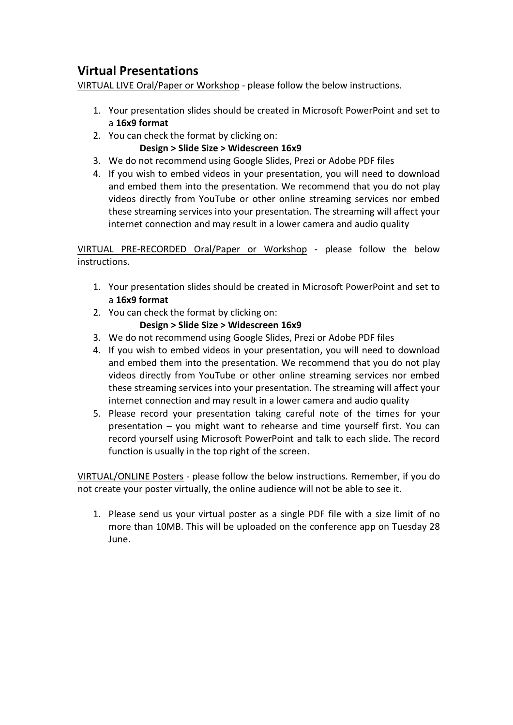## **Virtual Presentations**

VIRTUAL LIVE Oral/Paper or Workshop - please follow the below instructions.

- 1. Your presentation slides should be created in Microsoft PowerPoint and set to a **16x9 format**
- 2. You can check the format by clicking on:
	- **Design > Slide Size > Widescreen 16x9**
- 3. We do not recommend using Google Slides, Prezi or Adobe PDF files
- 4. If you wish to embed videos in your presentation, you will need to download and embed them into the presentation. We recommend that you do not play videos directly from YouTube or other online streaming services nor embed these streaming services into your presentation. The streaming will affect your internet connection and may result in a lower camera and audio quality

VIRTUAL PRE-RECORDED Oral/Paper or Workshop - please follow the below instructions.

- 1. Your presentation slides should be created in Microsoft PowerPoint and set to a **16x9 format**
- 2. You can check the format by clicking on:

#### **Design > Slide Size > Widescreen 16x9**

- 3. We do not recommend using Google Slides, Prezi or Adobe PDF files
- 4. If you wish to embed videos in your presentation, you will need to download and embed them into the presentation. We recommend that you do not play videos directly from YouTube or other online streaming services nor embed these streaming services into your presentation. The streaming will affect your internet connection and may result in a lower camera and audio quality
- 5. Please record your presentation taking careful note of the times for your presentation – you might want to rehearse and time yourself first. You can record yourself using Microsoft PowerPoint and talk to each slide. The record function is usually in the top right of the screen.

VIRTUAL/ONLINE Posters - please follow the below instructions. Remember, if you do not create your poster virtually, the online audience will not be able to see it.

1. Please send us your virtual poster as a single PDF file with a size limit of no more than 10MB. This will be uploaded on the conference app on Tuesday 28 June.